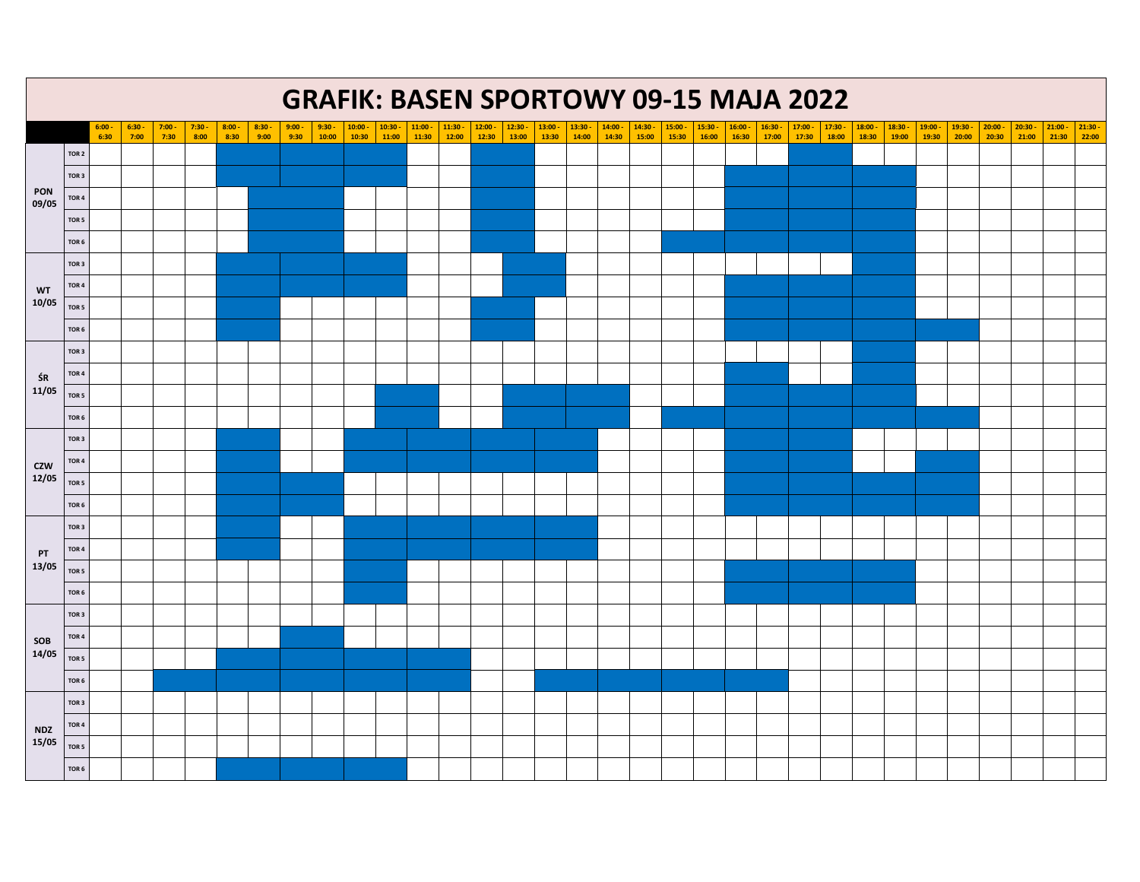